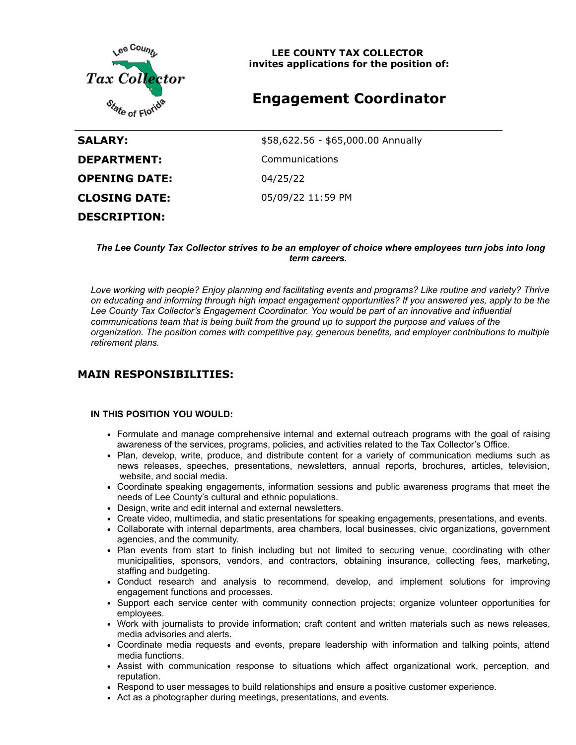

**LEE COUNTY TAX COLLECTOR invites applications for the position of:**

# **Engagement Coordinator**

| SALARY:              | \$58,622.56 - \$65,000.00 Annually |
|----------------------|------------------------------------|
| <b>DEPARTMENT:</b>   | Communications                     |
| <b>OPENING DATE:</b> | 04/25/22                           |
| <b>CLOSING DATE:</b> | 05/09/22 11:59 PM                  |
| <b>DESCRIPTION:</b>  |                                    |

#### *The Lee County Tax Collector strives to be an employer of choice where employees turn jobs into long term careers.*

*Love working with people? Enjoy planning and facilitating events and programs? Like routine and variety? Thrive on educating and informing through high impact engagement opportunities? If you answered yes, apply to be the Lee County Tax Collector's Engagement Coordinator. You would be part of an innovative and influential communications team that is being built from the ground up to support the purpose and values of the organization. The position comes with competitive pay, generous benefits, and employer contributions to multiple retirement plans.*

### **MAIN RESPONSIBILITIES:**

#### **IN THIS POSITION YOU WOULD:**

- Formulate and manage comprehensive internal and external outreach programs with the goal of raising awareness of the services, programs, policies, and activities related to the Tax Collector's Office.
- Plan, develop, write, produce, and distribute content for a variety of communication mediums such as news releases, speeches, presentations, newsletters, annual reports, brochures, articles, television, website, and social media.
- Coordinate speaking engagements, information sessions and public awareness programs that meet the needs of Lee County's cultural and ethnic populations.
- Design, write and edit internal and external newsletters.
- Create video, multimedia, and static presentations for speaking engagements, presentations, and events.
- Collaborate with internal departments, area chambers, local businesses, civic organizations, government agencies, and the community.
- Plan events from start to finish including but not limited to securing venue, coordinating with other municipalities, sponsors, vendors, and contractors, obtaining insurance, collecting fees, marketing, staffing and budgeting.
- Conduct research and analysis to recommend, develop, and implement solutions for improving engagement functions and processes.
- Support each service center with community connection projects; organize volunteer opportunities for employees.
- Work with journalists to provide information; craft content and written materials such as news releases, media advisories and alerts.
- Coordinate media requests and events, prepare leadership with information and talking points, attend media functions.
- Assist with communication response to situations which affect organizational work, perception, and reputation.
- Respond to user messages to build relationships and ensure a positive customer experience.
- Act as a photographer during meetings, presentations, and events.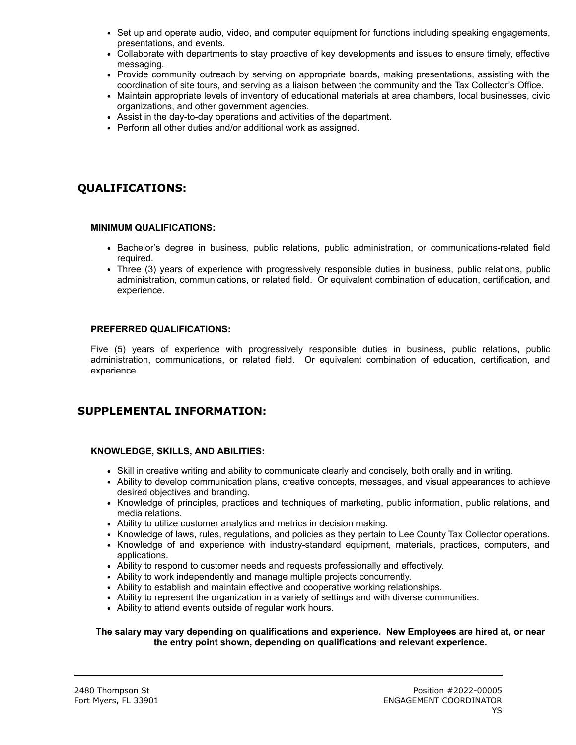- Set up and operate audio, video, and computer equipment for functions including speaking engagements, presentations, and events.
- Collaborate with departments to stay proactive of key developments and issues to ensure timely, effective messaging.
- Provide community outreach by serving on appropriate boards, making presentations, assisting with the coordination of site tours, and serving as a liaison between the community and the Tax Collector's Office.
- Maintain appropriate levels of inventory of educational materials at area chambers, local businesses, civic organizations, and other government agencies.
- Assist in the day-to-day operations and activities of the department.
- Perform all other duties and/or additional work as assigned.

# **QUALIFICATIONS:**

#### **MINIMUM QUALIFICATIONS:**

- Bachelor's degree in business, public relations, public administration, or communications-related field required.
- Three (3) years of experience with progressively responsible duties in business, public relations, public administration, communications, or related field. Or equivalent combination of education, certification, and experience.

#### **PREFERRED QUALIFICATIONS:**

Five (5) years of experience with progressively responsible duties in business, public relations, public administration, communications, or related field. Or equivalent combination of education, certification, and experience.

## **SUPPLEMENTAL INFORMATION:**

#### **KNOWLEDGE, SKILLS, AND ABILITIES:**

- Skill in creative writing and ability to communicate clearly and concisely, both orally and in writing.
- Ability to develop communication plans, creative concepts, messages, and visual appearances to achieve desired objectives and branding.
- Knowledge of principles, practices and techniques of marketing, public information, public relations, and media relations.
- Ability to utilize customer analytics and metrics in decision making.
- Knowledge of laws, rules, regulations, and policies as they pertain to Lee County Tax Collector operations.
- Knowledge of and experience with industry-standard equipment, materials, practices, computers, and applications.
- Ability to respond to customer needs and requests professionally and effectively.
- Ability to work independently and manage multiple projects concurrently.
- Ability to establish and maintain effective and cooperative working relationships.
- Ability to represent the organization in a variety of settings and with diverse communities.
- Ability to attend events outside of regular work hours.

#### **The salary may vary depending on qualifications and experience. New Employees are hired at, or near the entry point shown, depending on qualifications and relevant experience.**